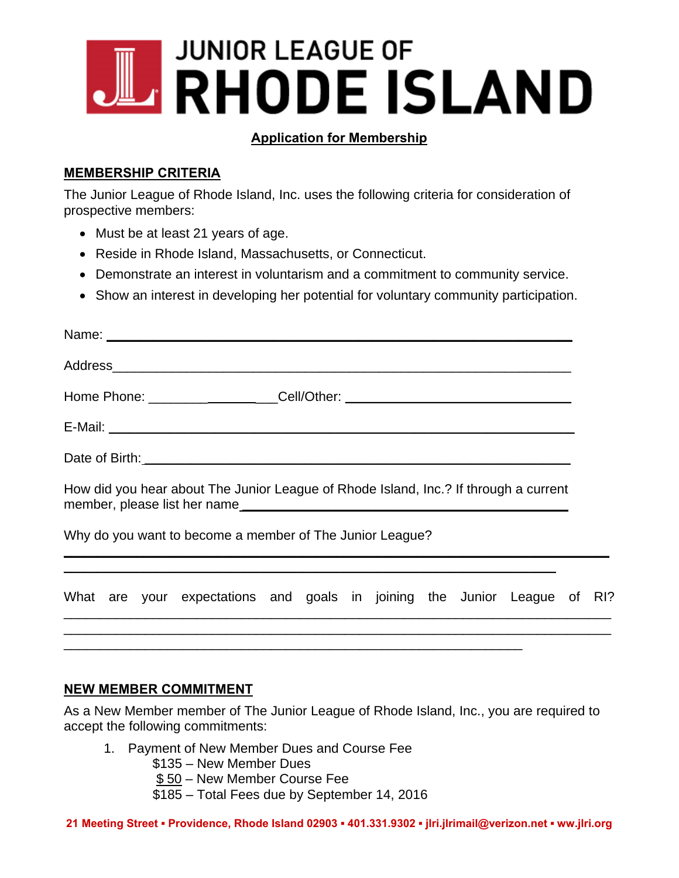# **JUNIOR LEAGUE OF FRHODE ISLAND**

## **Application for Membership**

## **MEMBERSHIP CRITERIA**

The Junior League of Rhode Island, Inc. uses the following criteria for consideration of prospective members:

- Must be at least 21 years of age.
- Reside in Rhode Island, Massachusetts, or Connecticut.
- Demonstrate an interest in voluntarism and a commitment to community service.
- Show an interest in developing her potential for voluntary community participation.

|  |  |  | How did you hear about The Junior League of Rhode Island, Inc.? If through a current<br>member, please list her name |  |  |  |  |  |  |  |  |  |
|--|--|--|----------------------------------------------------------------------------------------------------------------------|--|--|--|--|--|--|--|--|--|
|  |  |  | Why do you want to become a member of The Junior League?                                                             |  |  |  |  |  |  |  |  |  |
|  |  |  | What are your expectations and goals in joining the Junior League of RI?                                             |  |  |  |  |  |  |  |  |  |
|  |  |  |                                                                                                                      |  |  |  |  |  |  |  |  |  |

#### **NEW MEMBER COMMITMENT**

As a New Member member of The Junior League of Rhode Island, Inc., you are required to accept the following commitments:

- 1. Payment of New Member Dues and Course Fee
	- \$135 New Member Dues
	- \$ 50 New Member Course Fee
	- \$185 Total Fees due by September 14, 2016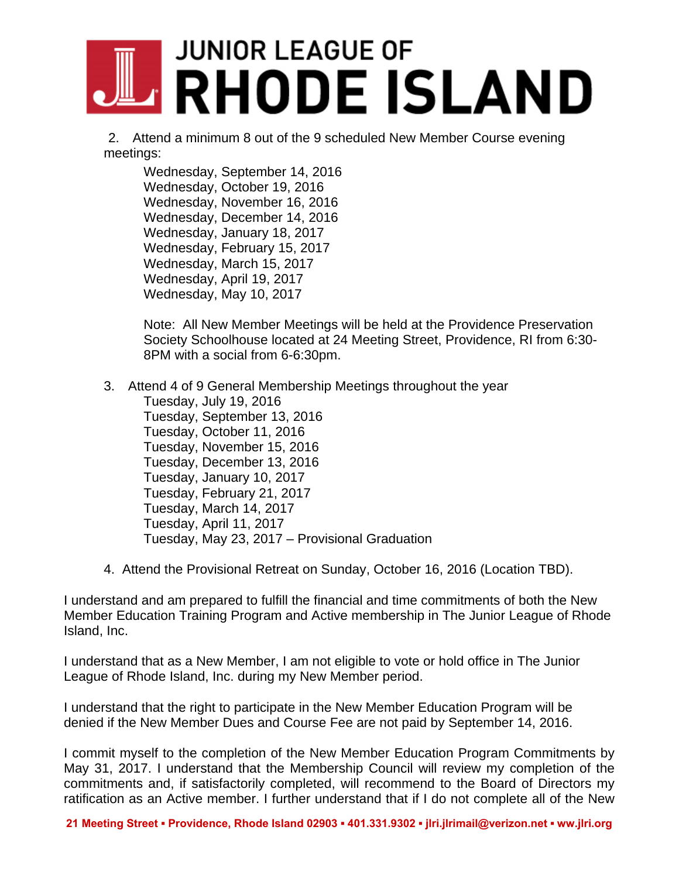# **JUNIOR LEAGUE OF ARHODE ISLAND**

 2. Attend a minimum 8 out of the 9 scheduled New Member Course evening meetings:

Wednesday, September 14, 2016 Wednesday, October 19, 2016 Wednesday, November 16, 2016 Wednesday, December 14, 2016 Wednesday, January 18, 2017 Wednesday, February 15, 2017 Wednesday, March 15, 2017 Wednesday, April 19, 2017 Wednesday, May 10, 2017

Note: All New Member Meetings will be held at the Providence Preservation Society Schoolhouse located at 24 Meeting Street, Providence, RI from 6:30- 8PM with a social from 6-6:30pm.

- 3. Attend 4 of 9 General Membership Meetings throughout the year Tuesday, July 19, 2016 Tuesday, September 13, 2016 Tuesday, October 11, 2016 Tuesday, November 15, 2016 Tuesday, December 13, 2016 Tuesday, January 10, 2017 Tuesday, February 21, 2017 Tuesday, March 14, 2017 Tuesday, April 11, 2017 Tuesday, May 23, 2017 – Provisional Graduation
- 4. Attend the Provisional Retreat on Sunday, October 16, 2016 (Location TBD).

I understand and am prepared to fulfill the financial and time commitments of both the New Member Education Training Program and Active membership in The Junior League of Rhode Island, Inc.

I understand that as a New Member, I am not eligible to vote or hold office in The Junior League of Rhode Island, Inc. during my New Member period.

I understand that the right to participate in the New Member Education Program will be denied if the New Member Dues and Course Fee are not paid by September 14, 2016.

I commit myself to the completion of the New Member Education Program Commitments by May 31, 2017. I understand that the Membership Council will review my completion of the commitments and, if satisfactorily completed, will recommend to the Board of Directors my ratification as an Active member. I further understand that if I do not complete all of the New